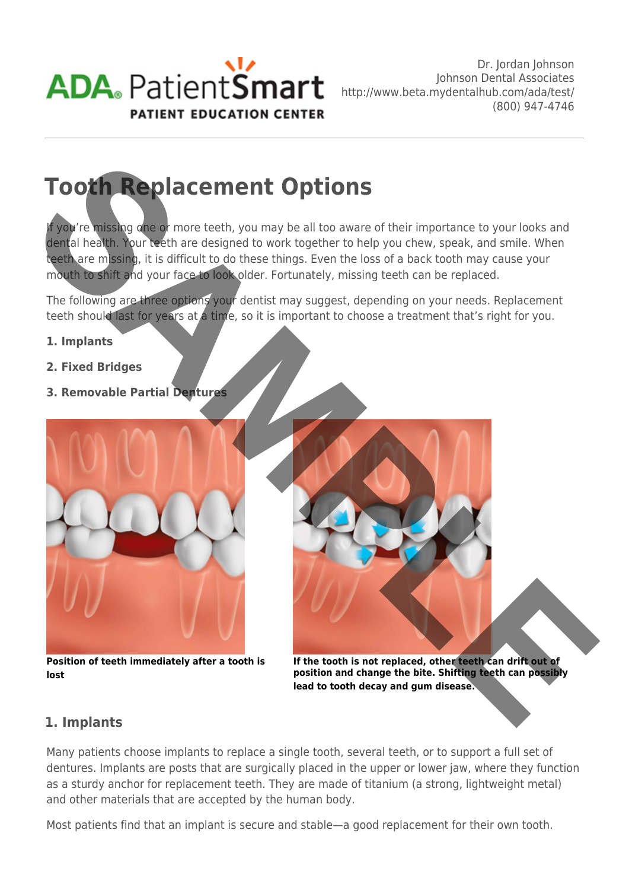

# **Tooth Replacement Options**

If you're missing one or more teeth, you may be all too aware of their importance to your looks and dental health. Your teeth are designed to work together to help you chew, speak, and smile. When teeth are missing, it is difficult to do these things. Even the loss of a back tooth may cause your mouth to shift and your face to look older. Fortunately, missing teeth can be replaced.

The following are three options your dentist may suggest, depending on your needs. Replacement teeth should last for years at a time, so it is important to choose a treatment that's right for you.

## **1. Implants**

- **2. Fixed Bridges**
- **3. Removable Partial Dentures**



**Position of teeth immediately after a tooth is lost**



**If the tooth is not replaced, other teeth can drift out of position and change the bite. Shifting teeth can possibly lead to tooth decay and gum disease.** 

# **1. Implants**

Many patients choose implants to replace a single tooth, several teeth, or to support a full set of dentures. Implants are posts that are surgically placed in the upper or lower jaw, where they function as a sturdy anchor for replacement teeth. They are made of titanium (a strong, lightweight metal) and other materials that are accepted by the human body.

Most patients find that an implant is secure and stable—a good replacement for their own tooth.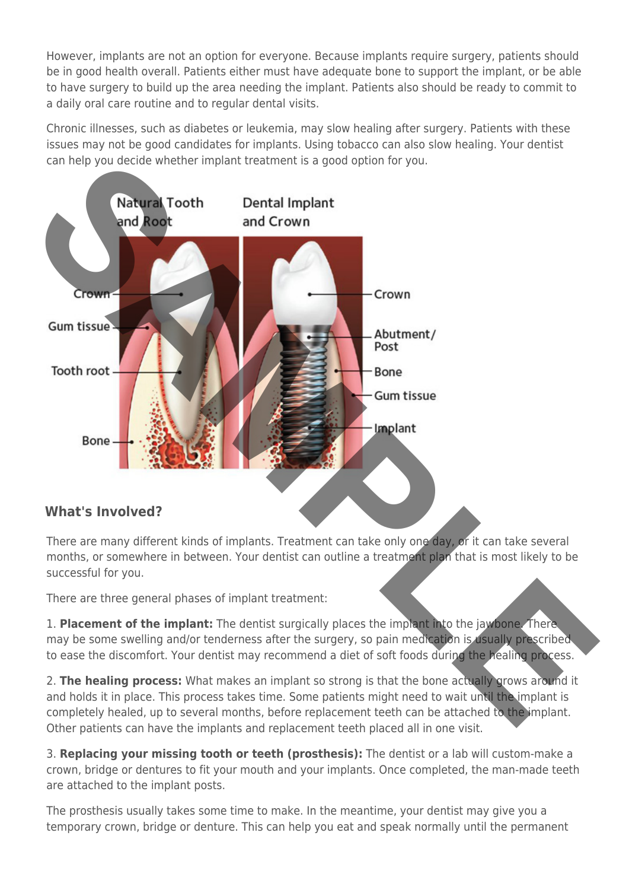However, implants are not an option for everyone. Because implants require surgery, patients should be in good health overall. Patients either must have adequate bone to support the implant, or be able to have surgery to build up the area needing the implant. Patients also should be ready to commit to a daily oral care routine and to regular dental visits.

Chronic illnesses, such as diabetes or leukemia, may slow healing after surgery. Patients with these issues may not be good candidates for implants. Using tobacco can also slow healing. Your dentist can help you decide whether implant treatment is a good option for you.



There are many different kinds of implants. Treatment can take only one day, or it can take several months, or somewhere in between. Your dentist can outline a treatment plan that is most likely to be successful for you.

There are three general phases of implant treatment:

1. **Placement of the implant:** The dentist surgically places the implant into the jawbone. There may be some swelling and/or tenderness after the surgery, so pain medication is usually prescribed to ease the discomfort. Your dentist may recommend a diet of soft foods during the healing process.

2. **The healing process:** What makes an implant so strong is that the bone actually grows around it and holds it in place. This process takes time. Some patients might need to wait until the implant is completely healed, up to several months, before replacement teeth can be attached to the implant. Other patients can have the implants and replacement teeth placed all in one visit.

3. **Replacing your missing tooth or teeth (prosthesis):** The dentist or a lab will custom-make a crown, bridge or dentures to fit your mouth and your implants. Once completed, the man-made teeth are attached to the implant posts.

The prosthesis usually takes some time to make. In the meantime, your dentist may give you a temporary crown, bridge or denture. This can help you eat and speak normally until the permanent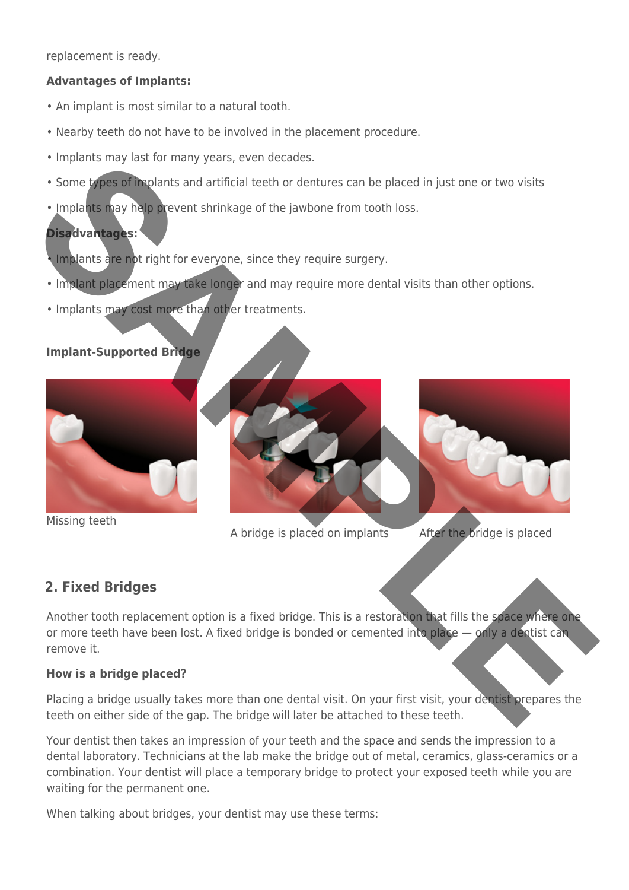replacement is ready.

## **Advantages of Implants:**

- An implant is most similar to a natural tooth.
- Nearby teeth do not have to be involved in the placement procedure.
- Implants may last for many years, even decades.
- Some types of implants and artificial teeth or dentures can be placed in just one or two visits
- Implants may help prevent shrinkage of the jawbone from tooth loss.

## **Disadvantages:**

- Implants are not right for everyone, since they require surgery.
- Implant placement may take longer and may require more dental visits than other options.
- Implants may cost more than other treatments.

## **Implant-Supported Bridge**



Missing teeth



A bridge is placed on implants After the bridge is placed

## **2. Fixed Bridges**

Another tooth replacement option is a fixed bridge. This is a restoration that fills the space where one or more teeth have been lost. A fixed bridge is bonded or cemented into place — only a dentist can remove it.

## **How is a bridge placed?**

Placing a bridge usually takes more than one dental visit. On your first visit, your dentist prepares the teeth on either side of the gap. The bridge will later be attached to these teeth.

Your dentist then takes an impression of your teeth and the space and sends the impression to a dental laboratory. Technicians at the lab make the bridge out of metal, ceramics, glass-ceramics or a combination. Your dentist will place a temporary bridge to protect your exposed teeth while you are waiting for the permanent one.

When talking about bridges, your dentist may use these terms: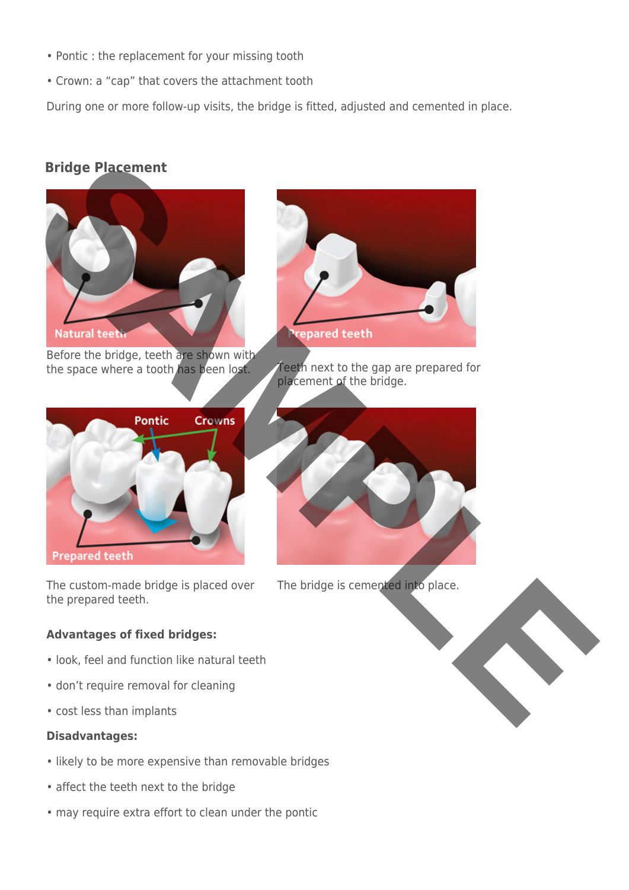- Pontic : the replacement for your missing tooth
- Crown: a "cap" that covers the attachment tooth

During one or more follow-up visits, the bridge is fitted, adjusted and cemented in place.

# **Bridge Placement**



Before the bridge, teeth are shown with the space where a tooth has been lost. Teeth next to the gap are prepared for



The custom-made bridge is placed over the prepared teeth.

## **Advantages of fixed bridges:**

- look, feel and function like natural teeth
- don't require removal for cleaning
- cost less than implants

## **Disadvantages:**

- likely to be more expensive than removable bridges
- affect the teeth next to the bridge
- may require extra effort to clean under the pontic



placement of the bridge.



The bridge is cemented into place.

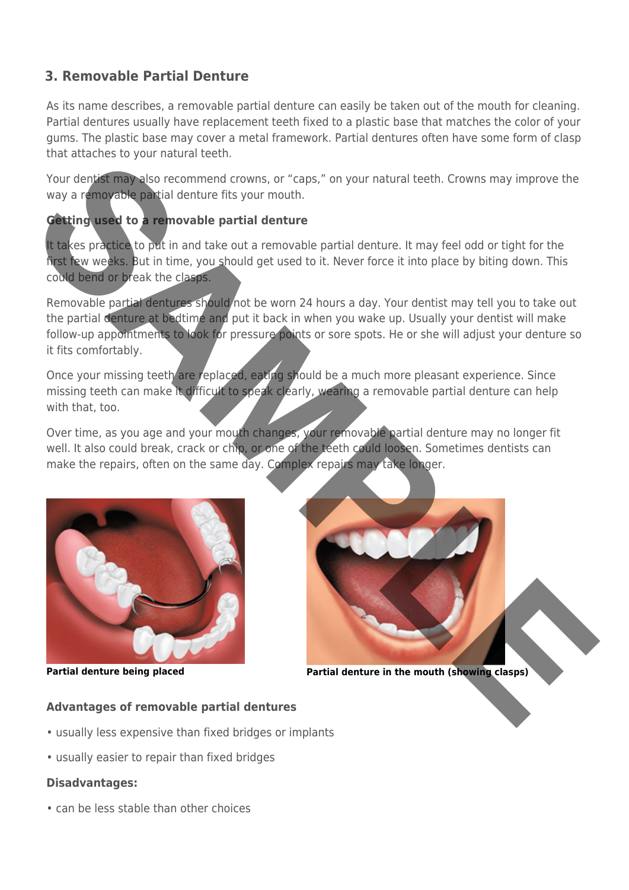# **3. Removable Partial Denture**

As its name describes, a removable partial denture can easily be taken out of the mouth for cleaning. Partial dentures usually have replacement teeth fixed to a plastic base that matches the color of your gums. The plastic base may cover a metal framework. Partial dentures often have some form of clasp that attaches to your natural teeth.

Your dentist may also recommend crowns, or "caps," on your natural teeth. Crowns may improve the way a removable partial denture fits your mouth.

## **Getting used to a removable partial denture**

It takes practice to put in and take out a removable partial denture. It may feel odd or tight for the first few weeks. But in time, you should get used to it. Never force it into place by biting down. This could bend or break the clasps.

Removable partial dentures should not be worn 24 hours a day. Your dentist may tell you to take out the partial denture at bedtime and put it back in when you wake up. Usually your dentist will make follow-up appointments to look for pressure points or sore spots. He or she will adjust your denture so it fits comfortably.

Once your missing teeth are replaced, eating should be a much more pleasant experience. Since missing teeth can make it difficult to speak clearly, wearing a removable partial denture can help with that, too.

Over time, as you age and your mouth changes, your removable partial denture may no longer fit well. It also could break, crack or chip, or one of the teeth could loosen. Sometimes dentists can make the repairs, often on the same day. Complex repairs may take longer.





**Partial denture being placed Partial denture in the mouth (showing clasps)**

## **Advantages of removable partial dentures**

- usually less expensive than fixed bridges or implants
- usually easier to repair than fixed bridges

## **Disadvantages:**

• can be less stable than other choices